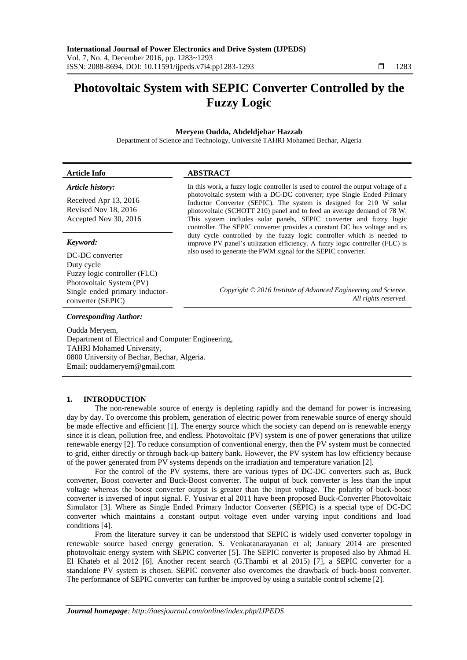# **Photovoltaic System with SEPIC Converter Controlled by the Fuzzy Logic**

# **Meryem Oudda, Abdeldjebar Hazzab**

Department of Science and Technology, Université TAHRI Mohamed Bechar, Algeria

#### **Article Info ABSTRACT** *Article history:* Received Apr 13, 2016 In this work, a fuzzy logic controller is used to control the output voltage of a photovoltaic system with a DC-DC converter; type Single Ended Primary

Revised Nov 18, 2016 Accepted Nov 30, 2016

## *Keyword:*

DC-DC converter Duty cycle Fuzzy logic controller (FLC) Photovoltaic System (PV) Single ended primary inductorconverter (SEPIC)

Inductor Converter (SEPIC). The system is designed for 210 W solar photovoltaic (SCHOTT 210) panel and to feed an average demand of 78 W. This system includes solar panels, SEPIC converter and fuzzy logic controller. The SEPIC converter provides a constant DC bus voltage and its duty cycle controlled by the fuzzy logic controller which is needed to improve PV panel's utilization efficiency. A fuzzy logic controller (FLC) is also used to generate the PWM signal for the SEPIC converter.

> *Copyright © 2016 Institute of Advanced Engineering and Science. All rights reserved.*

## *Corresponding Author:*

Oudda Meryem, Department of Electrical and Computer Engineering, TAHRI Mohamed University, 0800 University of Bechar, Bechar, Algeria. Email: ouddameryem@gmail.com

## **1. INTRODUCTION**

The non-renewable source of energy is depleting rapidly and the demand for power is increasing day by day. To overcome this problem, generation of electric power from renewable source of energy should be made effective and efficient [1]. The energy source which the society can depend on is renewable energy since it is clean, pollution free, and endless. Photovoltaic (PV) system is one of power generations that utilize renewable energy [2]. To reduce consumption of conventional energy, then the PV system must be connected to grid, either directly or through back-up battery bank. However, the PV system has low efficiency because of the power generated from PV systems depends on the irradiation and temperature variation [2].

For the control of the PV systems, there are various types of DC-DC converters such as, Buck converter, Boost converter and Buck-Boost converter. The output of buck converter is less than the input voltage whereas the boost converter output is greater than the input voltage. The polarity of buck-boost converter is inversed of input signal. F. Yusivar et al 2011 have been proposed Buck-Converter Photovoltaic Simulator [3]. Where as Single Ended Primary Inductor Converter (SEPIC) is a special type of DC-DC converter which maintains a constant output voltage even under varying input conditions and load conditions [4].

From the literature survey it can be understood that SEPIC is widely used converter topology in renewable source based energy generation. S. Venkatanarayanan et al; January 2014 are presented photovoltaic energy system with SEPIC converter [5]. The SEPIC converter is proposed also by Ahmad H. El Khateb et al 2012 [6]. Another recent search (G.Thambi et al 2015) [7], a SEPIC converter for a standalone PV system is chosen. SEPIC converter also overcomes the drawback of buck-boost converter. The performance of SEPIC converter can further be improved by using a suitable control scheme [2].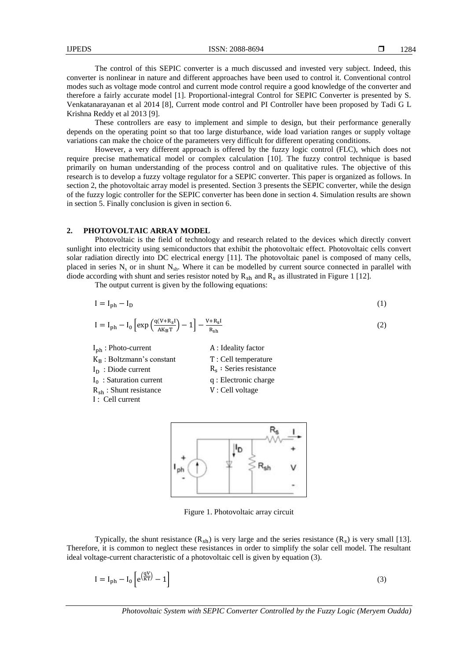The control of this SEPIC converter is a much discussed and invested very subject. Indeed, this converter is nonlinear in nature and different approaches have been used to control it. Conventional control modes such as voltage mode control and current mode control require a good knowledge of the converter and therefore a fairly accurate model [1]. Proportional-integral Control for SEPIC Converter is presented by S. Venkatanarayanan et al 2014 [8], Current mode control and PI Controller have been proposed by Tadi G L Krishna Reddy et al 2013 [9].

These controllers are easy to implement and simple to design, but their performance generally depends on the operating point so that too large disturbance, wide load variation ranges or supply voltage variations can make the choice of the parameters very difficult for different operating conditions.

However, a very different approach is offered by the fuzzy logic control (FLC), which does not require precise mathematical model or complex calculation [10]. The fuzzy control technique is based primarily on human understanding of the process control and on qualitative rules. The objective of this research is to develop a fuzzy voltage regulator for a SEPIC converter. This paper is organized as follows. In section 2, the photovoltaic array model is presented. Section 3 presents the SEPIC converter, while the design of the fuzzy logic controller for the SEPIC converter has been done in section 4. Simulation results are shown in section 5. Finally conclusion is given in section 6.

#### **2. PHOTOVOLTAIC ARRAY MODEL**

Photovoltaic is the field of technology and research related to the devices which directly convert sunlight into electricity using semiconductors that exhibit the photovoltaic effect. Photovoltaic cells convert solar radiation directly into DC electrical energy [11]. The photovoltaic panel is composed of many cells, placed in series  $N_s$  or in shunt  $N_{sh}$ . Where it can be modelled by current source connected in parallel with diode according with shunt and series resistor noted by  $R_{sh}$  and  $R_s$  as illustrated in Figure 1 [12].

The output current is given by the following equations:

$$
I = I_{ph} - I_D \tag{1}
$$

$$
I = I_{ph} - I_0 \left[ exp\left(\frac{q(V + R_S I)}{A K_B T}\right) - 1 \right] - \frac{V + R_S I}{R_{sh}} \tag{2}
$$

I<sub>ph</sub>: Photo-current **A**: Ideality factor

- $K_{\text{R}}$ : Boltzmann's constant  $T$ : Cell temperature  $I_{D}$ : Diode current
- 
- $I_0$ : Saturation current
- 
- : Cell current
- $R_s$ : Series resistance
- q : Electronic charge
- $R_{sh}$ : Shunt resistance  $V:$  Cell voltage



Figure 1. Photovoltaic array circuit

Typically, the shunt resistance  $(R_{\rm sh})$  is very large and the series resistance  $(R_{\rm s})$  is very small [13]. Therefore, it is common to neglect these resistances in order to simplify the solar cell model. The resultant ideal voltage-current characteristic of a photovoltaic cell is given by equation (3).

$$
I = I_{ph} - I_0 \left[ e^{\left(\frac{qV}{KT}\right)} - 1 \right] \tag{3}
$$

*Photovoltaic System with SEPIC Converter Controlled by the Fuzzy Logic (Meryem Oudda)*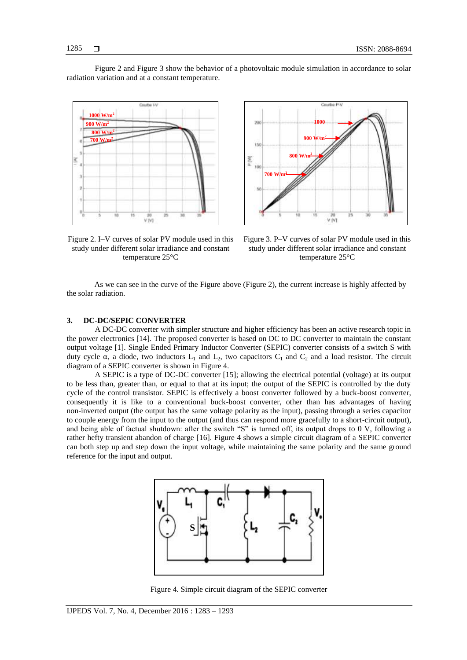Figure 2 and Figure 3 show the behavior of a photovoltaic module simulation in accordance to solar radiation variation and at a constant temperature.





Figure 2. I–V curves of solar PV module used in this study under different solar irradiance and constant temperature 25°C



As we can see in the curve of the Figure above (Figure 2), the current increase is highly affected by the solar radiation.

## **3. DC-DC/SEPIC CONVERTER**

A DC-DC converter with simpler structure and higher efficiency has been an active research topic in the power electronics [14]. The proposed converter is based on DC to DC converter to maintain the constant output voltage [1]. Single Ended Primary Inductor Converter (SEPIC) converter consists of a switch S with duty cycle  $\alpha$ , a diode, two inductors  $L_1$  and  $L_2$ , two capacitors  $C_1$  and  $C_2$  and a load resistor. The circuit diagram of a SEPIC converter is shown in Figure 4.

A SEPIC is a type of DC-DC converter [15]; allowing the electrical potential (voltage) at its output to be less than, greater than, or equal to that at its input; the output of the SEPIC is controlled by the duty cycle of the control transistor. SEPIC is effectively a boost converter followed by a buck-boost converter, consequently it is like to a conventional buck-boost converter, other than has advantages of having non-inverted output (the output has the same voltage polarity as the input), passing through a series capacitor to couple energy from the input to the output (and thus can respond more gracefully to a short-circuit output), and being able of factual shutdown: after the switch "S" is turned off, its output drops to 0 V, following a rather hefty transient abandon of charge [16]. Figure 4 shows a simple circuit diagram of a SEPIC converter can both step up and step down the input voltage, while maintaining the same polarity and the same ground reference for the input and output.



Figure 4. Simple circuit diagram of the SEPIC converter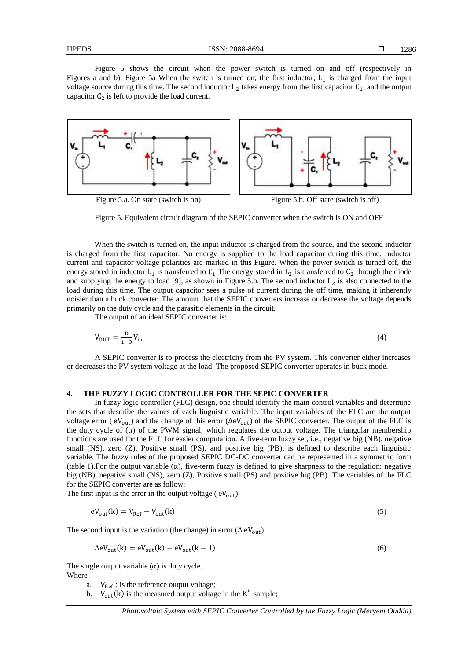Figure 5 shows the circuit when the power switch is turned on and off (respectively in Figures a and b). Figure 5a When the switch is turned on; the first inductor;  $L_1$  is charged from the input voltage source during this time. The second inductor  $L_2$  takes energy from the first capacitor  $C_1$ , and the output capacitor  $C_2$  is left to provide the load current.



Figure 5. Equivalent circuit diagram of the SEPIC converter when the switch is ON and OFF

When the switch is turned on, the input inductor is charged from the source, and the second inductor is charged from the first capacitor. No energy is supplied to the load capacitor during this time. Inductor current and capacitor voltage polarities are marked in this Figure. When the power switch is turned off, the energy stored in inductor  $L_1$  is transferred to  $C_1$ . The energy stored in  $L_2$  is transferred to  $C_2$  through the diode and supplying the energy to load [9], as shown in Figure 5.b. The second inductor  $L_2$  is also connected to the load during this time. The output capacitor sees a pulse of current during the off time, making it inherently noisier than a buck converter. The amount that the SEPIC converters increase or decrease the voltage depends primarily on the duty cycle and the parasitic elements in the circuit.

The output of an ideal SEPIC converter is:

$$
V_{\text{OUT}} = \frac{D}{1 - D} V_{\text{in}} \tag{4}
$$

A SEPIC converter is to process the electricity from the PV system. This converter either increases or decreases the PV system voltage at the load. The proposed SEPIC converter operates in buck mode.

#### **4. THE FUZZY LOGIC CONTROLLER FOR THE SEPIC CONVERTER**

In fuzzy logic controller (FLC) design, one should identify the main control variables and determine the sets that describe the values of each linguistic variable. The input variables of the FLC are the output voltage error ( $eV_{\text{out}}$ ) and the change of this error ( $\Delta eV_{\text{out}}$ ) of the SEPIC converter. The output of the FLC is the duty cycle of  $(\alpha)$  of the PWM signal, which regulates the output voltage. The triangular membership functions are used for the FLC for easier computation. A five-term fuzzy set, i.e., negative big (NB), negative small (NS), zero (Z), Positive small (PS), and positive big (PB), is defined to describe each linguistic variable. The fuzzy rules of the proposed SEPIC DC-DC converter can be represented in a symmetric form (table 1). For the output variable  $(\alpha)$ , five-term fuzzy is defined to give sharpness to the regulation: negative big (NB), negative small (NS), zero (Z), Positive small (PS) and positive big (PB). The variables of the FLC for the SEPIC converter are as follow:

The first input is the error in the output voltage ( $eV_{out}$ )

$$
eV_{out}(k) = V_{Ref} - V_{out}(k)
$$
\n<sup>(5)</sup>

The second input is the variation (the change) in error ( $\Delta$  eV<sub>out</sub>)

$$
\Delta \text{eV}_{\text{out}}(\text{k}) = \text{eV}_{\text{out}}(\text{k}) - \text{eV}_{\text{out}}(\text{k} - 1) \tag{6}
$$

The single output variable  $(\alpha)$  is duty cycle. Where

- a.  $V_{\text{Ref}}$ : is the reference output voltage;
- b.  $V_{\text{out}}(k)$  is the measured output voltage in the  $K^{\text{th}}$  sample;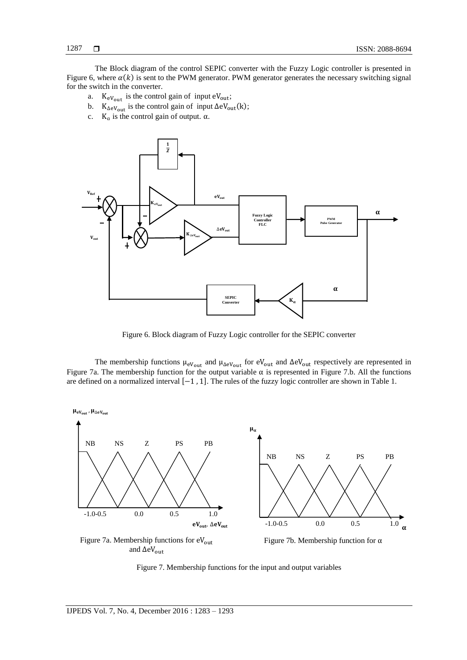The Block diagram of the control SEPIC converter with the Fuzzy Logic controller is presented in Figure 6, where  $\alpha(k)$  is sent to the PWM generator. PWM generator generates the necessary switching signal for the switch in the converter.

- a.  $K_{eV_{out}}$  is the control gain of input  $eV_{out}$ ;
- b.  $K_{\Delta eV_{\text{out}}}$  is the control gain of input  $\Delta eV_{\text{out}}(k)$ ;
- c.  $K_a$  is the control gain of output.  $\alpha$ .



Figure 6. Block diagram of Fuzzy Logic controller for the SEPIC converter

The membership functions  $\mu_{eV_{out}}$  and  $\mu_{\Delta eV_{out}}$  for  $eV_{out}$  and  $\Delta eV_{out}$  respectively are represented in Figure 7a. The membership function for the output variable  $\alpha$  is represented in Figure 7.b. All the functions are defined on a normalized interval  $[-1, 1]$ . The rules of the fuzzy logic controller are shown in Table 1.



Figure 7. Membership functions for the input and output variables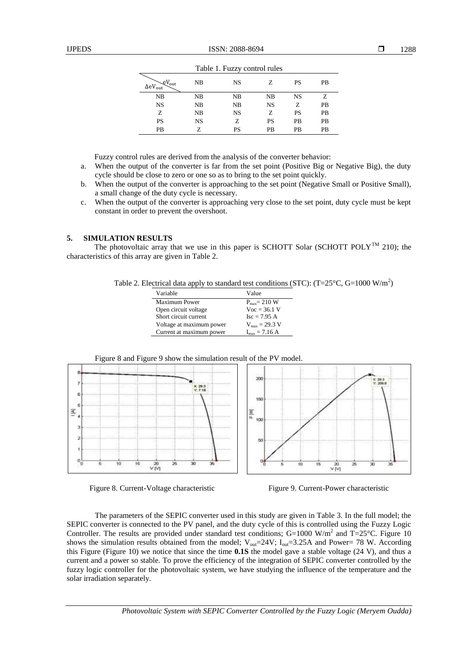| Table 1. Fuzzy control rules                               |           |           |           |           |           |  |
|------------------------------------------------------------|-----------|-----------|-----------|-----------|-----------|--|
| $\mathcal{L}V_{\text{out}}$<br>$\Delta$ e $V_{\text{out}}$ | NB        | <b>NS</b> |           | PS        | <b>PB</b> |  |
| NB                                                         | NB        | NB        | NB        | <b>NS</b> | Z         |  |
| NS                                                         | NB        | NB        | <b>NS</b> | Z         | <b>PB</b> |  |
| Ζ                                                          | NB        | <b>NS</b> | Z         | PS        | <b>PB</b> |  |
| PS                                                         | <b>NS</b> | Z         | PS        | PB        | <b>PB</b> |  |
| PB                                                         | Z         | PS        | PB        | PВ        | PB        |  |

Table 1. Fuzzy control rules

Fuzzy control rules are derived from the analysis of the converter behavior:

- a. When the output of the converter is far from the set point (Positive Big or Negative Big), the duty cycle should be close to zero or one so as to bring to the set point quickly.
- b. When the output of the converter is approaching to the set point (Negative Small or Positive Small), a small change of the duty cycle is necessary.
- c. When the output of the converter is approaching very close to the set point, duty cycle must be kept constant in order to prevent the overshoot.

## **5. SIMULATION RESULTS**

The photovoltaic array that we use in this paper is SCHOTT Solar (SCHOTT POLY<sup>TM</sup> 210); the characteristics of this array are given in Table 2.

Table 2. Electrical data apply to standard test conditions (STC): (T=25 $\rm ^{\circ}C$ , G=1000 W/m<sup>2</sup>)

| Variable                 | Value                             |
|--------------------------|-----------------------------------|
| Maximum Power            | $P_{\text{max}} = 210$ W          |
| Open circuit voltage     | $Voc = 36.1 V$                    |
| Short circuit current    | $Isc = 7.95 A$                    |
| Voltage at maximum power | $V_{\text{max}} = 29.3 \text{ V}$ |
| Current at maximum power | $I_{\rm max} = 7.16 \text{ A}$    |





Figure 8. Current-Voltage characteristic Figure 9. Current-Power characteristic

The parameters of the SEPIC converter used in this study are given in Table 3. In the full model; the SEPIC converter is connected to the PV panel, and the duty cycle of this is controlled using the Fuzzy Logic Controller. The results are provided under standard test conditions;  $G=1000$  W/m<sup>2</sup> and T=25°C. Figure 10 shows the simulation results obtained from the model;  $V_{out}=24V$ ;  $I_{out}=3.25A$  and Power= 78 W. According this Figure (Figure 10) we notice that since the time **0.1S** the model gave a stable voltage (24 V), and thus a current and a power so stable. To prove the efficiency of the integration of SEPIC converter controlled by the fuzzy logic controller for the photovoltaic system, we have studying the influence of the temperature and the solar irradiation separately.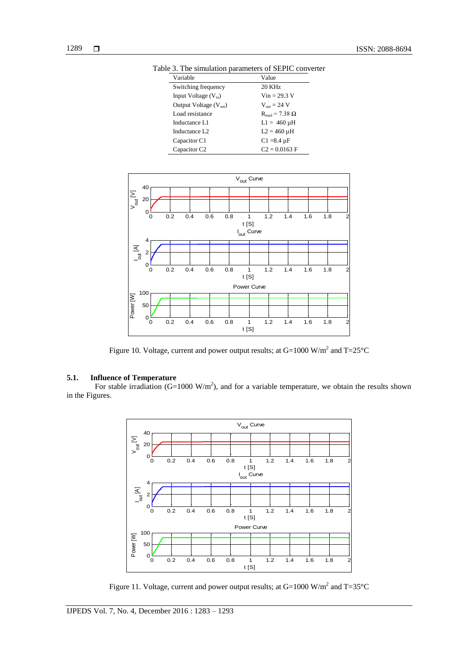| Variable                   | Value                    |
|----------------------------|--------------------------|
| Switching frequency        | 20 KHz                   |
| Input Voltage $(V_{in})$   | $Vin = 29.3 V$           |
| Output Voltage $(V_{out})$ | $V_{\text{out}} = 24$ V  |
| Load resistance            | $R_{load} = 7.38 \Omega$ |
| Inductance L1              | $L1 = 460 \mu H$         |
| Inductance L <sub>2</sub>  | $L2 = 460 \mu H$         |
| Capacitor C1               | $C1 = 8.4 \mu F$         |
| Capacitor C <sub>2</sub>   | $C2 = 0.0163 F$          |

Table 3. The simulation parameters of SEPIC converter



Figure 10. Voltage, current and power output results; at  $G=1000$  W/m<sup>2</sup> and T=25 $^{\circ}$ C

# **5.1. Influence of Temperature**

For stable irradiation (G=1000 W/m<sup>2</sup>), and for a variable temperature, we obtain the results shown in the Figures.



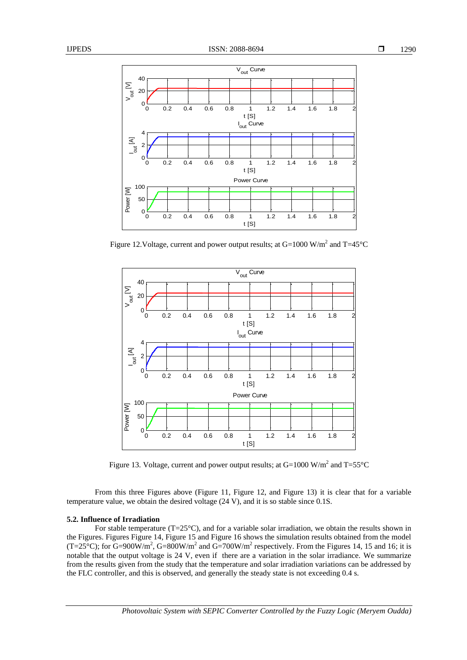

Figure 12. Voltage, current and power output results; at G=1000 W/m<sup>2</sup> and T=45 $^{\circ}$ C



Figure 13. Voltage, current and power output results; at  $G=1000$  W/m<sup>2</sup> and T=55 $^{\circ}$ C

From this three Figures above (Figure 11, Figure 12, and Figure 13) it is clear that for a variable temperature value, we obtain the desired voltage (24 V), and it is so stable since 0.1S.

## **5.2. Influence of Irradiation**

For stable temperature ( $T=25^{\circ}$ C), and for a variable solar irradiation, we obtain the results shown in the Figures. Figures Figure 14, Figure 15 and Figure 16 shows the simulation results obtained from the model (T=25<sup>o</sup>C); for G=900W/m<sup>2</sup>, G=800W/m<sup>2</sup> and G=700W/m<sup>2</sup> respectively. From the Figures 14, 15 and 16; it is notable that the output voltage is 24 V, even if there are a variation in the solar irradiance. We summarize from the results given from the study that the temperature and solar irradiation variations can be addressed by the FLC controller, and this is observed, and generally the steady state is not exceeding 0.4 s.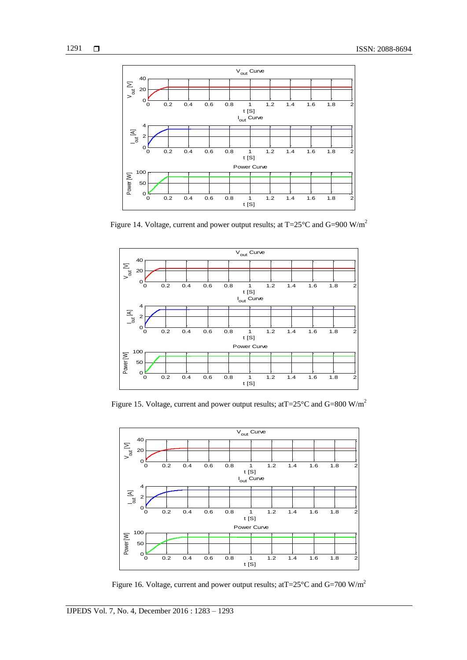

Figure 14. Voltage, current and power output results; at T=25°C and G=900 W/m<sup>2</sup>



Figure 15. Voltage, current and power output results; at  $T=25^{\circ}$ C and  $G=800$  W/m<sup>2</sup>



Figure 16. Voltage, current and power output results; at  $T=25^{\circ}$ C and  $G=700$  W/m<sup>2</sup>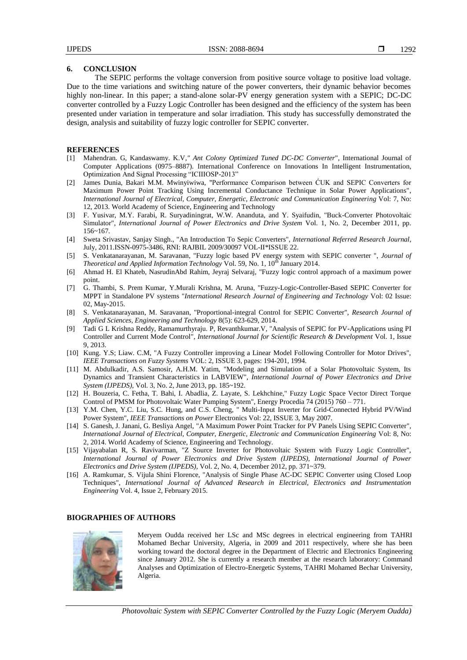# **6. CONCLUSION**

The SEPIC performs the voltage conversion from positive source voltage to positive load voltage. Due to the time variations and switching nature of the power converters, their dynamic behavior becomes highly non-linear. In this paper; a stand-alone solar-PV energy generation system with a SEPIC; DC-DC converter controlled by a Fuzzy Logic Controller has been designed and the efficiency of the system has been presented under variation in temperature and solar irradiation. This study has successfully demonstrated the design, analysis and suitability of fuzzy logic controller for SEPIC converter.

## **REFERENCES**

- [1] Mahendran. G, Kandaswamy. K.V*," Ant Colony Optimized Tuned DC-DC Converter*", International Journal of Computer Applications (0975–8887). International Conference on Innovations In Intelligent Instrumentation, Optimization And Signal Processing "ICIIIOSP-2013"
- [2] James Dunia, Bakari M.M. Mwinyiwiwa, "Performance Comparison between ĆUK and SEPIC Converters for Maximum Power Point Tracking Using Incremental Conductance Technique in Solar Power Applications", *International Journal of Electrical, Computer, Energetic, Electronic and Communication Engineering* Vol: 7, No: 12, 2013. World Academy of Science, Engineering and Technology
- [3] F. Yusivar, M.Y. Farabi, R. Suryadiningrat, W.W. Ananduta, and Y. Syaifudin, "Buck-Converter Photovoltaic Simulator", *International Journal of Power Electronics and Drive System* Vol. 1, No. 2, December 2011, pp. 156~167.
- [4] Sweta Srivastav, Sanjay Singh., "An Introduction To Sepic Converters", *International Referred Research Journal*, July, 2011.ISSN-0975-3486, RNI: RAJBIL 2009/30097 VOL-II\*ISSUE 22.
- [5] S. Venkatanarayanan, M. Saravanan, "Fuzzy logic based PV energy system with SEPIC converter ", *Journal of Theoretical and Applied Information Technology Vol.* 59, No. 1, 10<sup>th</sup> January 2014.
- [6] Ahmad H. El Khateb, NasrudinAbd Rahim, Jeyraj Selvaraj, "Fuzzy logic control approach of a maximum power point.
- [7] G. Thambi, S. Prem Kumar, Y.Murali Krishna, M. Aruna, "Fuzzy-Logic-Controller-Based SEPIC Converter for MPPT in Standalone PV systems "*International Research Journal of Engineering and Technology* Vol: 02 Issue: 02, May-2015.
- [8] S. Venkatanarayanan, M. Saravanan, "Proportional-integral Control for SEPIC Converter", *Research Journal of Applied Sciences, Engineering and Technology* 8(5): 623-629, 2014.
- [9] Tadi G L Krishna Reddy, Ramamurthyraju. P, Revanthkumar.V, "Analysis of SEPIC for PV-Applications using PI Controller and Current Mode Control", *International Journal for Scientific Research & Development* Vol. 1, Issue 9, 2013.
- [10] Kung. Y.S; Liaw. C.M, "A Fuzzy Controller improving a Linear Model Following Controller for Motor Drives", *IEEE Transactions on Fuzzy Systems* VOL: 2, ISSUE 3, pages: 194-201, 1994.
- [11] M. Abdulkadir, A.S. Samosir, A.H.M. Yatim, "Modeling and Simulation of a Solar Photovoltaic System, Its Dynamics and Transient Characteristics in LABVIEW", *International Journal of Power Electronics and Drive System (IJPEDS)*, Vol. 3, No. 2, June 2013, pp. 185~192.
- [12] H. Bouzeria, C. Fetha, T. Bahi, I. Abadlia, Z. Layate, S. Lekhchine," Fuzzy Logic Space Vector Direct Torque Control of PMSM for Photovoltaic Water Pumping System", Energy Procedia 74 (2015) 760 – 771.
- [13] Y.M. Chen, Y.C. Liu, S.C. Hung, and C.S. Cheng, " Multi-Input Inverter for Grid-Connected Hybrid PV/Wind Power System", *IEEE Transactions on Power* Electronics Vol: 22, ISSUE 3, May 2007.
- [14] S. Ganesh, J. Janani, G. Besliya Angel, "A Maximum Power Point Tracker for PV Panels Using SEPIC Converter", *International Journal of Electrical, Computer, Energetic, Electronic and Communication Engineering* Vol: 8, No: 2, 2014. World Academy of Science, Engineering and Technology.
- [15] Vijayabalan R, S. Ravivarman, "Z Source Inverter for Photovoltaic System with Fuzzy Logic Controller", *International Journal of Power Electronics and Drive System (IJPEDS), International Journal of Power Electronics and Drive System (IJPEDS),* Vol. 2, No. 4, December 2012, pp. 371~379.
- [16] A. Ramkumar, S. Vijula Shini Florence, "Analysis of Single Phase AC-DC SEPIC Converter using Closed Loop Techniques", *International Journal of Advanced Research in Electrical, Electronics and Instrumentation Engineering* Vol. 4, Issue 2, February 2015.

#### **BIOGRAPHIES OF AUTHORS**



Meryem Oudda received her LSc and MSc degrees in electrical engineering from TAHRI Mohamed Bechar University, Algeria, in 2009 and 2011 respectively, where she has been working toward the doctoral degree in the Department of Electric and Electronics Engineering since January 2012. She is currently a research member at the research laboratory: Command Analyses and Optimization of Electro-Energetic Systems, TAHRI Mohamed Bechar University, Algeria.

*Photovoltaic System with SEPIC Converter Controlled by the Fuzzy Logic (Meryem Oudda)*